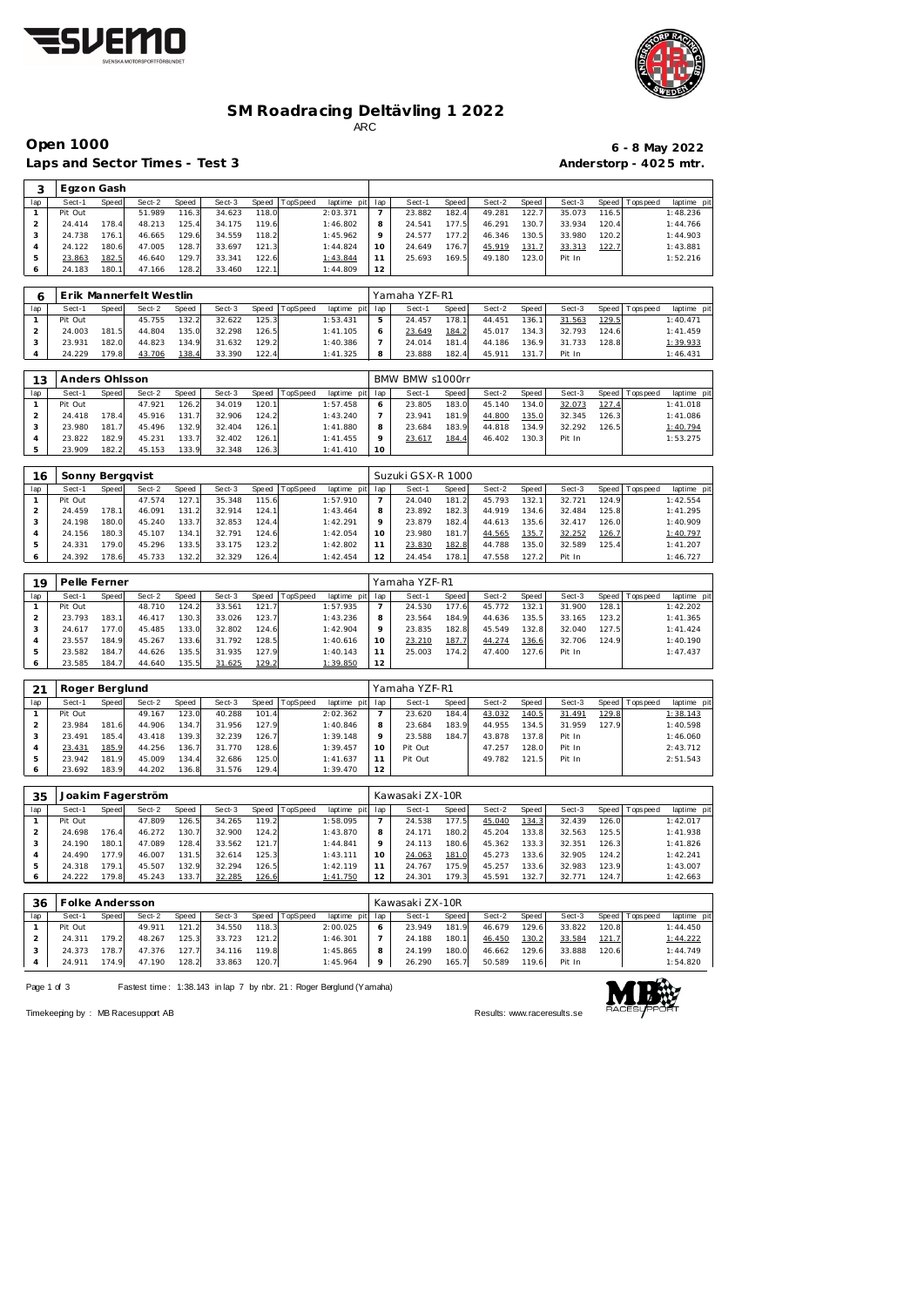



#### **SM Roadracing Deltävling 1 2022**

ARC

lap | Sect-1 Speed| Sect-2 Speed | Sect-3 Speed |TopSpeed laptime pit lap | Sect-1 Speed Sect-2 Speed | Sect-3 Speed |Topspeed laptime pit

Laps and Sector Times - Test 3 **Anderstorp - 4025 mtr.** 

Pit Out 51.989 116.3 34.623 118.0 2:03.371

**3** Egzon Gash<br> **1ap Sect-1** Speed Sect-2 Speed<br> **1** Pit Out 51.989 116.3

## **Open 1000 6 - 8 May 2022**

23.882 182.4 49.281 122.7 35.073 116.5 1:48.236

| $\overline{2}$      | 24.414            | 178.4          | 48.213                  | 125.4          | 34.175           | 119.6          |          | 1:46.802                | 8                 | 24.541           | 177.5          | 46.291           | 130.7          | 33.934           | 120.4          |             | 1:44.766                                           |  |  |  |
|---------------------|-------------------|----------------|-------------------------|----------------|------------------|----------------|----------|-------------------------|-------------------|------------------|----------------|------------------|----------------|------------------|----------------|-------------|----------------------------------------------------|--|--|--|
| 3                   | 24.738            | 176.1          | 46.665                  | 129.6          | 34.559           | 118.2          |          | 1:45.962                | 9                 | 24.577           | 177.2          | 46.346           | 130.5          | 33.980           | 120.2          |             | 1:44.903                                           |  |  |  |
| $\overline{4}$      | 24.122            | 180.6          | 47.005                  | 128.7          | 33.697           | 121.3          |          | 1:44.824                | 10                | 24.649           | 176.7          | 45.919           | 131.7          | 33.313           | 122.7          |             | 1:43.881                                           |  |  |  |
| $\mathbf 5$         | 23.863            | 182.5          | 46.640                  | 129.7          | 33.341           | 122.6          |          | 1:43.844                | 11                | 25.693           | 169.5          | 49.180           | 123.0          | Pit In           |                |             | 1:52.216                                           |  |  |  |
| 6                   | 24.183            | 180.1          | 47.166                  | 128.2          | 33.460           | 122.7          |          | 1:44.809                | 12                |                  |                |                  |                |                  |                |             |                                                    |  |  |  |
|                     |                   |                |                         |                |                  |                |          |                         |                   |                  |                |                  |                |                  |                |             |                                                    |  |  |  |
|                     |                   |                |                         |                |                  |                |          |                         |                   |                  |                |                  |                |                  |                |             |                                                    |  |  |  |
| 6                   |                   |                | Erik Mannerfelt Westlin |                |                  |                |          |                         |                   | Yamaha YZF-R1    |                |                  |                |                  |                |             |                                                    |  |  |  |
| lap                 | Sect-1            | Speed          | Sect-2                  | Speed          | Sect-3           | Speed          | TopSpeed | laptime pit             | lap               | Sect-1           | Speed          | Sect-2           | Speed          | Sect-3           | Speed          | Tops peed   | laptime pit                                        |  |  |  |
| $\mathbf{1}$        | Pit Out           |                | 45.755                  | 132.2          | 32.622           | 125.3          |          | 1:53.431                | 5                 | 24.457           | 178.1          | 44.451           | 136.1          | 31.563           | 129.5          |             | 1:40.471                                           |  |  |  |
| $\overline{c}$      | 24.003            | 181.5          | 44.804                  | 135.0          | 32.298           | 126.5          |          | 1:41.105                | 6                 | 23.649           | 184.2          | 45.017           | 134.3          | 32.793           | 124.6          |             | 1:41.459                                           |  |  |  |
| $\mathsf 3$         | 23.931            | 182.0          | 44.823                  | 134.9          | 31.632           | 129.2          |          | 1:40.386                | $\overline{7}$    | 24.014           | 181.4          | 44.186           | 136.9          | 31.733           | 128.8          |             | 1:39.933                                           |  |  |  |
| $\overline{4}$      | 24.229            | 179.8          | 43.706                  | 138.4          | 33.390           | 122.4          |          | 1:41.325                | 8                 | 23.888           | 182.4          | 45.911           | 131.7          | Pit In           |                |             | 1:46.431                                           |  |  |  |
|                     |                   |                |                         |                |                  |                |          |                         |                   |                  |                |                  |                |                  |                |             |                                                    |  |  |  |
| 13                  | Anders Ohlsson    |                |                         |                |                  |                |          |                         |                   | BMW BMW s1000rr  |                |                  |                |                  |                |             |                                                    |  |  |  |
|                     |                   |                |                         |                |                  |                |          |                         |                   |                  |                | Sect-2           |                |                  |                |             |                                                    |  |  |  |
| lap<br>$\mathbf{1}$ | Sect-1<br>Pit Out | Speed          | Sect-2<br>47.921        | Speed<br>126.2 | Sect-3<br>34.019 | Speed<br>120.7 | TopSpeed | laptime pit<br>1:57.458 | lap<br>6          | Sect-1<br>23.805 | Speed<br>183.0 | 45.140           | Speed<br>134.0 | Sect-3<br>32.073 | Speed<br>127.4 | Tops peed   | laptime pit<br>1:41.018                            |  |  |  |
|                     |                   |                |                         |                |                  |                |          |                         |                   |                  |                |                  |                |                  |                |             |                                                    |  |  |  |
| $\overline{a}$      | 24.418            | 178.4          | 45.916                  | 131.7          | 32.906           | 124.2          |          | 1:43.240                | $\overline{7}$    | 23.941           | 181.9          | 44.800           | 135.0          | 32.345           | 126.3          |             | 1:41.086                                           |  |  |  |
| 3                   | 23.980            | 181.7          | 45.496                  | 132.9          | 32.404           | 126.1          |          | 1:41.880                | 8                 | 23.684           | 183.9          | 44.818           | 134.9          | 32.292           | 126.5          |             | 1:40.794                                           |  |  |  |
| $\overline{4}$      | 23.822            | 182.9          | 45.231                  | 133.7          | 32.402           | 126.7          |          | 1:41.455                | 9                 | 23.617           | 184.4          | 46.402           | 130.3          | Pit In           |                |             | 1:53.275                                           |  |  |  |
| 5                   | 23.909            | 182.2          | 45.153                  | 133.9          | 32.348           | 126.3          |          | 1:41.410                | 10                |                  |                |                  |                |                  |                |             |                                                    |  |  |  |
|                     |                   |                |                         |                |                  |                |          |                         |                   |                  |                |                  |                |                  |                |             |                                                    |  |  |  |
| 16                  | Sonny Bergqvist   |                |                         |                |                  |                |          |                         | Suzuki GSX-R 1000 |                  |                |                  |                |                  |                |             |                                                    |  |  |  |
| lap                 | Sect-1            | Speed          | Sect-2                  | Speed          | Sect-3           | Speed          | TopSpeed | laptime pit             | lap               | Sect-1           | Speed          | Sect-2           | Speed          | Sect-3           | Speed          | T ops pee d | laptime pit                                        |  |  |  |
| $\mathbf{1}$        | Pit Out           |                | 47.574                  | 127.1          | 35.348           | 115.6          |          | 1:57.910                | $\overline{7}$    | 24.040           | 181.2          | 45.793           | 132.1          | 32.721           | 124.9          |             | 1:42.554                                           |  |  |  |
| $\overline{c}$      | 24.459            | 178.1          | 46.091                  | 131.2          | 32.914           | 124.1          |          | 1:43.464                | 8                 | 23.892           | 182.3          | 44.919           | 134.6          | 32.484           | 125.8          |             | 1:41.295                                           |  |  |  |
| 3                   | 24.198            | 180.0          | 45.240                  | 133.7          | 32.853           | 124.4          |          | 1:42.291                | 9                 | 23.879           | 182.4          | 44.613           | 135.6          | 32.417           | 126.0          |             | 1:40.909                                           |  |  |  |
| $\overline{4}$      | 24.156            | 180.3          | 45.107                  | 134.1          | 32.791           | 124.6          |          | 1:42.054                | 10                | 23.980           | 181.7          | 44.565           | 135.7          | 32.252           | 126.7          |             | 1:40.797                                           |  |  |  |
| 5                   | 24.331            | 179.0          | 45.296                  | 133.5          | 33.175           | 123.2          |          | 1:42.802                | 11                | 23.830           | 182.8          | 44.788           | 135.0          | 32.589           | 125.4          |             | 1:41.207                                           |  |  |  |
| 6                   | 24.392            | 178.6          | 45.733                  | 132.2          | 32.329           | 126.4          |          | 1:42.454                | 12                | 24.454           | 178.1          | 47.558           | 127.2          | Pit In           |                |             | 1:46.727                                           |  |  |  |
|                     |                   |                |                         |                |                  |                |          |                         |                   |                  |                |                  |                |                  |                |             |                                                    |  |  |  |
| 19                  | Pelle Ferner      |                |                         |                |                  |                |          |                         |                   | Yamaha YZF-R1    |                |                  |                |                  |                |             |                                                    |  |  |  |
|                     |                   |                |                         | Speed          |                  |                |          |                         |                   | Sect-1           |                |                  |                |                  |                |             |                                                    |  |  |  |
|                     |                   |                |                         |                | Sect-3           | Speed          | TopSpeed | laptime pit             | lap               |                  | Speed          | Sect-2           | Speed          | Sect-3           | Speed          | Tops peed   | laptime pit                                        |  |  |  |
| lap                 | Sect-1            | Speed          | Sect-2                  |                |                  |                |          |                         |                   |                  |                |                  |                |                  |                |             |                                                    |  |  |  |
| $\mathbf{1}$        | Pit Out           |                | 48.710                  | 124.2          | 33.561           | 121.7          |          | 1:57.935                | $\overline{7}$    | 24.530           | 177.6          | 45.772           | 132.1          | 31.900           | 128.1          |             | 1:42.202                                           |  |  |  |
| $\overline{c}$      | 23.793            | 183.1          | 46.417                  | 130.3          | 33.026           | 123.7          |          | 1:43.236                | 8                 | 23.564           | 184.9          | 44.636           | 135.5          | 33.165           | 123.2          |             | 1:41.365                                           |  |  |  |
| 3                   | 24.617            | 177.0          | 45.485                  | 133.0          | 32.802           | 124.6          |          | 1:42.904                | 9                 | 23.835           | 182.8          | 45.549           | 132.8          | 32.040           | 127.5          |             | 1:41.424                                           |  |  |  |
| $\overline{4}$      | 23.557            | 184.9          | 45.267                  | 133.6          | 31.792           | 128.5          |          | 1:40.616                | 10                | 23.210           | 187.7          | 44.274           | 136.6          | 32.706           | 124.9          |             | 1:40.190                                           |  |  |  |
| $\mathbf 5$         | 23.582            | 184.7          | 44.626                  | 135.5          | 31.935           | 127.9          |          | 1:40.143                | 11                | 25.003           | 174.2          | 47.400           | 127.6          | Pit In           |                |             | 1:47.437                                           |  |  |  |
| $\epsilon$          | 23.585            | 184.7          | 44.640                  | 135.5          | 31.625           | 129.2          |          | 1:39.850                | 12                |                  |                |                  |                |                  |                |             |                                                    |  |  |  |
|                     |                   |                |                         |                |                  |                |          |                         |                   |                  |                |                  |                |                  |                |             |                                                    |  |  |  |
| 21                  | Roger Berglund    |                |                         |                |                  |                |          |                         |                   | Yamaha YZF-R1    |                |                  |                |                  |                |             |                                                    |  |  |  |
| lap                 | Sect-1            | Speed          | Sect-2                  | Speed          | Sect-3           | Speed          | TopSpeed | laptime pit             | lap               | Sect-1           | Speed          | Sect-2           | Speed          | Sect-3           | Speed          | Tops peed   |                                                    |  |  |  |
| $\mathbf{1}$        | Pit Out           |                | 49.167                  | 123.0          | 40.288           | 101.4          |          | 2:02.362                | $\overline{7}$    | 23.620           | 184.4          | 43.032           | 140.5          | 31.491           | 129.8          |             | 1:38.143                                           |  |  |  |
| $\overline{a}$      | 23.984            | 181.6          | 44.906                  | 134.7          | 31.956           | 127.9          |          | 1:40.846                | 8                 | 23.684           | 183.9          | 44.955           | 134.5          | 31.959           | 127.9          |             | 1:40.598                                           |  |  |  |
| 3                   | 23.491            | 185.4          | 43.418                  | 139.3          | 32.239           | 126.7          |          | 1:39.148                | 9                 | 23.588           | 184.7          | 43.878           | 137.8          | Pit In           |                |             | 1:46.060                                           |  |  |  |
| $\overline{4}$      | 23.431            | 185.9          | 44.256                  | 136.7          | 31.770           | 128.6          |          | 1:39.457                | 10                | Pit Out          |                | 47.257           | 128.0          | Pit In           |                |             | 2:43.712                                           |  |  |  |
| $\mathbf 5$         | 23.942            | 181.9          | 45.009                  | 134.4          | 32.686           | 125.0          |          | 1:41.637                | 11                | Pit Out          |                | 49.782           | 121.5          | Pit In           |                |             | 2:51.543                                           |  |  |  |
| 6                   | 23.692            | 183.9          | 44.202                  | 136.8          | 31.576           | 129.4          |          | 1:39.470                | 12                |                  |                |                  |                |                  |                |             |                                                    |  |  |  |
|                     |                   |                |                         |                |                  |                |          |                         |                   |                  |                |                  |                |                  |                |             |                                                    |  |  |  |
|                     |                   |                |                         |                |                  |                |          |                         |                   |                  |                |                  |                |                  |                |             |                                                    |  |  |  |
| 35                  |                   |                | Joakim Fagerström       |                |                  |                |          |                         |                   | Kawasaki ZX-10R  |                |                  |                |                  |                |             |                                                    |  |  |  |
| lap                 | Sect-1            | Speed          | Sect-2                  | Speed          | Sect-3           | Speed          | TopSpeed | laptime pit             | lap               | Sect-1           | Speed          | Sect-2           | Speed          | Sect-3           | Speed          | T ops pee d |                                                    |  |  |  |
| $\mathbf{1}$        | Pit Out           |                | 47.809                  | 126.5          | 34.265           | 119.2          |          | 1:58.095                | $\overline{7}$    | 24.538           | 177.5          | 45.040           | 134.3          | 32.439           | 126.0          |             | 1:42.017                                           |  |  |  |
| $\overline{a}$      | 24.698            | 176.4          | 46.272                  | 130.7          | 32.900           | 124.2          |          | 1:43.870                | 8                 | 24.171           | 180.2          | 45.204           | 133.8          | 32.563           | 125.5          |             | 1:41.938                                           |  |  |  |
| 3                   | 24.190            | 180.1          | 47.089                  | 128.4          | 33.562           | 121.7          |          | 1:44.841                | 9                 | 24.113           | 180.6          | 45.362           | 133.3          | 32.351           | 126.3          |             | 1:41.826                                           |  |  |  |
| $\overline{4}$      | 24.490            | 177.9          | 46.007                  | 131.5          | 32.614           | 125.3          |          | 1:43.111                | 10                | 24.063           | 181.0          | 45.273           | 133.6          | 32.905           | 124.2          |             | 1:42.241                                           |  |  |  |
| 5<br>6              | 24.318<br>24.222  | 179.1<br>179.8 | 45.507<br>45.243        | 132.9<br>133.7 | 32.294<br>32.285 | 126.5<br>126.6 |          | 1:42.119<br>1:41.750    | 11<br>12          | 24.767<br>24.301 | 175.9<br>179.3 | 45.257<br>45.591 | 133.6<br>132.7 | 32.983<br>32.771 | 123.9<br>124.7 |             | laptime pit<br>laptime pit<br>1:43.007<br>1:42.663 |  |  |  |

| 36  | Folke Andersson |       |        |       |        |       |          |             |     | Kawasaki ZX-10R |                    |        |       |        |       |                 |             |  |  |
|-----|-----------------|-------|--------|-------|--------|-------|----------|-------------|-----|-----------------|--------------------|--------|-------|--------|-------|-----------------|-------------|--|--|
| lap | Sect-1          | Speed | Sect-2 | Speed | Sect-3 | Speed | TopSpeed | laptime pit | lap | Sect-1          | <b>Speed</b>       | Sect-2 | Speed | Sect-3 |       | Speed Tops peed | laptime pit |  |  |
|     | Pit Out         |       | 49.911 | 121.2 | 34.550 | 118.3 |          | 2:00.025    | Ô   | 23.949          | 181.9              | 46.679 | 129.6 | 33.822 | 120.8 |                 | 1:44.450    |  |  |
|     | 24.311          | 179.2 | 48.267 | 125.3 | 33.723 | 121.2 |          | 1:46.301    |     | 24.188          | 180.               | 46.450 | 130.2 | 33.584 | 121.7 |                 | 1:44.222    |  |  |
|     | 24.373          | 178.7 | 47.376 | 127.7 | 34.116 | 119.8 |          | 1:45.865    | 8   | 24.199          | 180.0              | 46.662 | 129.6 | 33.888 | 120.6 |                 | 1:44.749    |  |  |
| 4   | 24.911          | 174.9 | 47.190 | 128.2 | 33.863 | 120.7 |          | 1:45.964    | Q   | 26.290          | 165.7 <sub>1</sub> | 50.589 | 119.6 | Pit In |       |                 | 1:54.820    |  |  |

Page 1 of 3 Fastest time: 1:38.143 in lap 7 by nbr. 21: Roger Berglund (Yamaha)



Timekeeping by : MB Racesupport AB Results:<www.raceresults.se>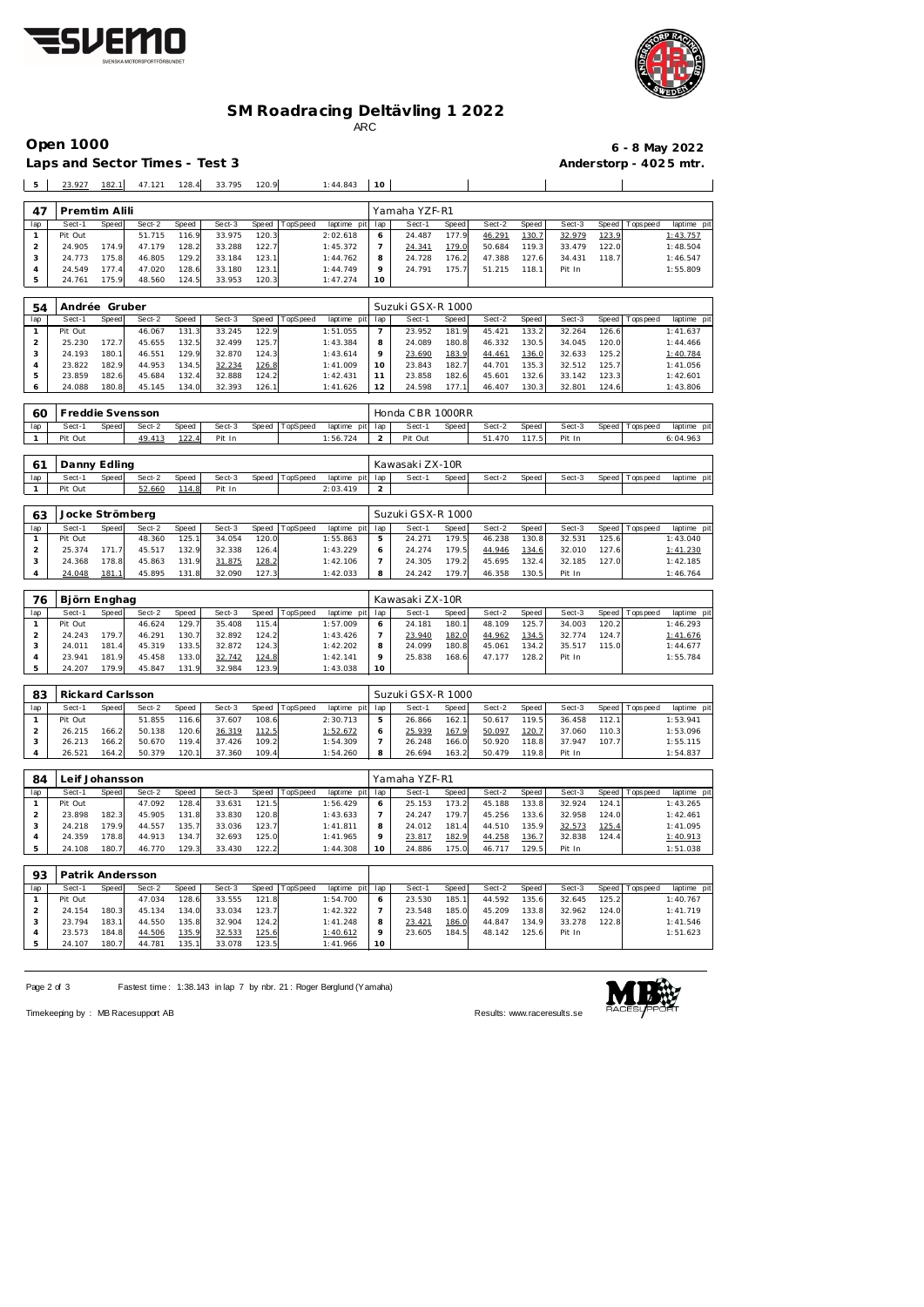



### **SM Roadracing Deltävling 1 2022**

ARC

Laps and Sector Times - Test 3 **Anderstorp - 4025 mtr.** 

# **Open 1000 6 - 8 May 2022**

| 5                              | 23.927            | 182.1            | 47.121           | 128.4          | 33.795            | 120.9          |          | 1:44.843                | 10                            |                  |                |                  |                       |                  |                |             |                         |  |  |  |
|--------------------------------|-------------------|------------------|------------------|----------------|-------------------|----------------|----------|-------------------------|-------------------------------|------------------|----------------|------------------|-----------------------|------------------|----------------|-------------|-------------------------|--|--|--|
|                                |                   |                  |                  |                |                   |                |          |                         |                               |                  |                |                  |                       |                  |                |             |                         |  |  |  |
| 47                             |                   | Premtim Alili    |                  |                |                   |                |          |                         | Yamaha YZF-R1                 |                  |                |                  |                       |                  |                |             |                         |  |  |  |
| lap                            | Sect-1            | Speed            | Sect-2           | Speed          | Sect-3            | Speed          | TopSpeed | laptime pit             | lap                           | Sect-1           | <b>Speed</b>   | Sect-2           | Speed                 | Sect-3           | Speed          | T ops pee d | laptime pit             |  |  |  |
| $\mathbf{1}$<br>$\overline{a}$ | Pit Out<br>24.905 | 174.9            | 51.715<br>47.179 | 116.9<br>128.2 | 33.975<br>33.288  | 120.3<br>122.7 |          | 2:02.618<br>1:45.372    | 6<br>7                        | 24.487<br>24.341 | 177.9<br>179.0 | 46.291<br>50.684 | 130.7<br>119.3        | 32.979<br>33.479 | 123.9<br>122.0 |             | 1:43.757<br>1:48.504    |  |  |  |
| 3                              | 24.773            | 175.8            | 46.805           | 129.2          | 33.184            | 123.1          |          | 1:44.762                | 8                             | 24.728           | 176.2          | 47.388           | 127.6                 | 34.431           | 118.7          |             | 1:46.547                |  |  |  |
| $\overline{4}$                 | 24.549            | 177.4            | 47.020           | 128.6          | 33.180            | 123.1          |          | 1:44.749                | 9                             | 24.791           | 175.7          | 51.215           | 118.1                 | Pit In           |                |             | 1:55.809                |  |  |  |
| 5                              | 24.761            | 175.9            | 48.560           | 124.5          | 33.953            | 120.3          |          | 1:47.274                | 10                            |                  |                |                  |                       |                  |                |             |                         |  |  |  |
|                                |                   |                  |                  |                |                   |                |          |                         |                               |                  |                |                  |                       |                  |                |             |                         |  |  |  |
| 54                             | Andrée Gruber     |                  |                  |                | Suzuki GSX-R 1000 |                |          |                         |                               |                  |                |                  |                       |                  |                |             |                         |  |  |  |
| lap                            | Sect-1            | Speed            | Sect-2           | Speed          | Sect-3            | Speed          | TopSpeed | laptime pit             | lap                           | Sect-1           | Speed          | Sect-2           | Speed                 | Sect-3           | Speed          | Tops pee d  | laptime pit             |  |  |  |
| $\mathbf{1}$                   | Pit Out           |                  | 46.067           | 131.3          | 33.245            | 122.9          |          | 1:51.055                | $\overline{7}$                | 23.952           | 181.9          | 45.421           | 133.2                 | 32.264           | 126.6          |             | 1:41.637                |  |  |  |
| $\overline{c}$                 | 25.230            | 172.7            | 45.655           | 132.5          | 32.499            | 125.7          |          | 1:43.384                | 8<br>9                        | 24.089           | 180.8          | 46.332           | 130.5                 | 34.045           | 120.0          |             | 1:44.466                |  |  |  |
| 3<br>$\overline{4}$            | 24.193<br>23.822  | 180.1<br>182.9   | 46.551<br>44.953 | 129.9<br>134.5 | 32.870<br>32.234  | 124.3<br>126.8 |          | 1:43.614<br>1:41.009    | 10                            | 23.690<br>23.843 | 183.9<br>182.7 | 44.461<br>44.701 | 136.0<br>135.3        | 32.633<br>32.512 | 125.2<br>125.7 |             | 1:40.784<br>1:41.056    |  |  |  |
| $\mathbf 5$                    | 23.859            | 182.6            | 45.684           | 132.4          | 32.888            | 124.2          |          | 1:42.431                | 11                            | 23.858           | 182.6          | 45.601           | 132.6                 | 33.142           | 123.3          |             | 1:42.601                |  |  |  |
| 6                              | 24.088            | 180.8            | 45.145           | 134.0          | 32.393            | 126.1          |          | 1:41.626                | 12                            | 24.598           | 177.1          | 46.407           | 130.3                 | 32.801           | 124.6          |             | 1:43.806                |  |  |  |
|                                |                   |                  |                  |                |                   |                |          |                         |                               |                  |                |                  |                       |                  |                |             |                         |  |  |  |
| 60                             |                   | Freddie Svensson |                  |                |                   |                |          |                         |                               | Honda CBR 1000RR |                |                  |                       |                  |                |             |                         |  |  |  |
| lap                            | Sect-1            | Speed            | Sect-2           | Speed          | Sect-3            | Speed          | TopSpeed | laptime pit             | lap                           | Sect-1           | Speed          | Sect-2           | Speed                 | Sect-3           | Speed          | T ops pee d | laptime pit             |  |  |  |
| $\mathbf{1}$                   | Pit Out           |                  | 49.413           | 122.4          | Pit In            |                |          | 1:56.724                | 2                             | Pit Out          |                | 51.470           | 117.5                 | Pit In           |                |             | 6:04.963                |  |  |  |
|                                |                   |                  |                  |                |                   |                |          |                         |                               |                  |                |                  |                       |                  |                |             |                         |  |  |  |
| 61                             |                   | Danny Edling     |                  |                |                   |                |          |                         |                               | Kawasaki ZX-10R  |                |                  |                       |                  |                |             |                         |  |  |  |
| lap                            | Sect-1<br>Pit Out | Speed            | Sect-2<br>52.660 | Speed<br>114.8 | Sect-3            | Speed          | TopSpeed | laptime pit             | lap<br>$\overline{2}$         | Sect-1           | Speed          | Sect-2           | Speed                 | Sect-3           | Speed          | Tops pee d  | laptime pit             |  |  |  |
| 1                              |                   |                  |                  |                | Pit In            |                |          | 2:03.419                |                               |                  |                |                  |                       |                  |                |             |                         |  |  |  |
| 63                             |                   | Jocke Strömberg  |                  |                |                   |                |          |                         | Suzuki GSX-R 1000             |                  |                |                  |                       |                  |                |             |                         |  |  |  |
| lap                            | Sect-1            | Speed            | Sect-2           | Speed          | Sect-3            | Speed          | TopSpeed | laptime pit             | lap                           | Sect-1           | Speed          | Sect-2           | Speed                 | Sect-3           | Speed          | Tops pee d  |                         |  |  |  |
| $\mathbf{1}$                   | Pit Out           |                  | 48.360           | 125.1          | 34.054            | 120.C          |          | 1:55.863                | 5                             | 24.271           | 179.5          | 46.238           | 130.8                 | 32.531           | 125.6          |             | laptime pit<br>1:43.040 |  |  |  |
| $\overline{a}$                 | 25.374            | 171.7            | 45.517           | 132.9          | 32.338            | 126.4          |          | 1:43.229                | 6                             | 24.274           | 179.5          | 44.946           | 134.6                 | 32.010           | 127.6          |             | 1:41.230                |  |  |  |
| 3                              | 24.368            | 178.8            | 45.863           | 131.9          | 31.875            | 128.2          |          | 1:42.106                | $\overline{7}$                | 24.305           | 179.2          | 45.695           | 132.4                 | 32.185           | 127.0          |             | 1:42.185                |  |  |  |
| $\overline{4}$                 | 24.048            | 181.1            | 45.895           | 131.8          | 32.090            | 127.3          |          | 1:42.033                | 8                             | 24.242           | 179.7          | 46.358           | 130.5                 | Pit In           |                |             | 1:46.764                |  |  |  |
|                                |                   |                  |                  |                |                   |                |          |                         |                               |                  |                |                  |                       |                  |                |             |                         |  |  |  |
| 76                             |                   | Björn Enghag     |                  |                |                   |                |          |                         | Kawasaki ZX-10R               |                  |                |                  |                       |                  |                |             |                         |  |  |  |
| lap<br>$\mathbf{1}$            | Sect-1<br>Pit Out | Speed            | Sect-2<br>46.624 | Speed<br>129.7 | Sect-3<br>35.408  | Speed<br>115.4 | TopSpeed | laptime pit<br>1:57.009 | lap                           | Sect-1<br>24.181 | Speed<br>180.1 | Sect-2<br>48.109 | Speed<br>125.7        | Sect-3<br>34.003 | Speed<br>120.2 | Tops pee d  | laptime pit<br>1:46.293 |  |  |  |
| $\overline{c}$                 | 24.243            | 179.7            | 46.291           | 130.7          | 32.892            | 124.2          |          | 1:43.426                | 6<br>$\overline{\phantom{a}}$ | 23.940           | 182.0          | 44.962           | 134.5                 | 32.774           | 124.7          |             | 1:41.676                |  |  |  |
| 3                              | 24.011            | 181.4            | 45.319           | 133.5          | 32.872            | 124.3          |          | 1:42.202                | 8                             | 24.099           | 180.8          | 45.061           | 134.2                 | 35.517           | 115.0          |             | 1:44.677                |  |  |  |
| $\overline{4}$                 | 23.941            | 181.9            | 45.458           | 133.0          | 32.742            | 124.8          |          | 1:42.141                | 9                             | 25.838           | 168.6          | 47.177           | 128.2                 | Pit In           |                |             | 1:55.784                |  |  |  |
| 5                              | 24.207            | 179.9            | 45.847           | 131.9          | 32.984            | 123.9          |          | 1:43.038                | 10                            |                  |                |                  |                       |                  |                |             |                         |  |  |  |
|                                |                   |                  |                  |                |                   |                |          |                         |                               |                  |                |                  |                       |                  |                |             |                         |  |  |  |
| 83                             |                   | Rickard Carlsson |                  |                |                   |                |          |                         | Suzuki GSX-R 1000             |                  |                |                  |                       |                  |                |             |                         |  |  |  |
| lap                            | Sect-1            | Speed            | Sect-2           | Speed          | Sect-3            | Speed          | TopSpeed | laptime pit             | lap                           | Sect-1           | Speed          | Sect-2           | Speed                 | Sect-3           | Speed          | Tops pee d  | laptime pit             |  |  |  |
| $\mathbf{1}$<br>2              | Pit Out           |                  | 51.855           | 116.6          | 37.607            | 108.6          |          | 2:30.713                | 5<br>6                        | 26.866<br>25.939 | 162.1          | 50.617           | 119.5                 | 36.458           | 112.1          |             | 1:53.941                |  |  |  |
| 3                              | 26.215<br>26.213  | 166.2<br>166.2   | 50.138<br>50.670 | 120.6<br>119.4 | 36.319<br>37.426  | 112.5<br>109.2 |          | 1:52.672<br>1:54.309    | 7                             | 26.248           | 167.9<br>166.0 | 50.097<br>50.920 | 120.7<br>118.8        | 37.060<br>37.947 | 110.3<br>107.7 |             | 1:53.096<br>1:55.115    |  |  |  |
| $\overline{4}$                 | 26.521            | 164.2            | 50.379           | 120.1          | 37.360            | 109.4          |          | 1:54.260                | 8                             | 26.694           | 163.2          | 50.479           | 119.8                 | Pit In           |                |             | 1:54.837                |  |  |  |
|                                |                   |                  |                  |                |                   |                |          |                         |                               |                  |                |                  |                       |                  |                |             |                         |  |  |  |
| 84                             |                   | Leif Johansson   |                  |                |                   |                |          |                         |                               | Yamaha YZF-R1    |                |                  |                       |                  |                |             |                         |  |  |  |
| lap                            | Sect-1            | Speed            | Sect-2           | Speed          | Sect-3            | Speed          | TopSpeed | laptime pit             | lap                           | Sect-1           | Speed          | Sect-2           | Speed                 | Sect-3           | Speed          | Tops pee d  | laptime pit             |  |  |  |
| $\mathbf{1}$                   | Pit Out           |                  | 47.092           | 128.4          | 33.631            | 121.5          |          | 1:56.429                | 6                             | 25.153           | 173.2          | 45.188           | 133.8                 | 32.924           | 124.1          |             | 1:43.265                |  |  |  |
| $\overline{c}$                 | 23.898            | 182.3            | 45.905           | 131.8          | 33.830            | 120.8          |          | 1:43.633                | $\overline{7}$                | 24.247           | 179.7          | 45.256           | 133.6                 | 32.958           | 124.0          |             | 1:42.461                |  |  |  |
| 3<br>$\overline{4}$            | 24.218<br>24.359  | 179.9<br>178.8   | 44.557<br>44.913 | 135.7<br>134.7 | 33.036<br>32.693  | 123.7<br>125.0 |          | 1:41.811<br>1:41.965    | 8<br>9                        | 24.012<br>23.817 | 181.4<br>182.9 | 44.510<br>44.258 | 135.9<br><u>136.7</u> | 32.573<br>32.838 | 125.4<br>124.4 |             | 1:41.095<br>1:40.913    |  |  |  |
| 5                              | 24.108            | 180.7            | 46.770           | 129.3          | 33.430            | 122.2          |          | 1:44.308                | 10                            | 24.886           | 175.0          | 46.717           | 129.5                 | Pit In           |                |             | 1:51.038                |  |  |  |
|                                |                   |                  |                  |                |                   |                |          |                         |                               |                  |                |                  |                       |                  |                |             |                         |  |  |  |
| 93                             |                   | Patrik Andersson |                  |                |                   |                |          |                         |                               |                  |                |                  |                       |                  |                |             |                         |  |  |  |
| lap                            | Sect-1            | Speed            | Sect-2           | Speed          | Sect-3            | Speed          | TopSpeed | laptime pit             | lap                           | Sect-1           | Speed          | Sect-2           | Speed                 | Sect-3           | Speed          | Topspeed    | laptime pit             |  |  |  |
| $\mathbf{1}$                   | Pit Out           |                  | 47.034           | 128.6          | 33.555            | 121.8          |          | 1:54.700                | 6                             | 23.530           | 185.1          | 44.592           | 135.6                 | 32.645           | 125.2          |             | 1:40.767                |  |  |  |
| $\overline{\mathbf{c}}$        | 24.154            | 180.3            | 45.134           | 134.0          | 33.034            | 123.7          |          | 1:42.322                | 7                             | 23.548           | 185.0          | 45.209           | 133.8                 | 32.962           | 124.0          |             | 1:41.719                |  |  |  |
| 3                              | 23.794            | 183.1            | 44.550           | 135.8          | 32.904            | 124.2          |          | 1:41.248                | 8                             | 23.421           | 186.0          | 44.847           | 134.9                 | 33.278           | 122.8          |             | 1:41.546                |  |  |  |
| $\overline{4}$                 | 23.573            | 184.8            | 44.506           | 135.9          | 32.533            | 125.6          |          | 1:40.612                | 9                             | 23.605           | 184.5          | 48.142           | 125.6                 | Pit In           |                |             | 1:51.623                |  |  |  |

Page 2 of 3 Fastest time: 1:38.143 in lap 7 by nbr. 21: Roger Berglund (Yamaha)

 23.573 184.8 44.506 135.9 32.533 125.6 1:40.612 24.107 180.7 44.781 135.1 33.078 123.5 1:41.966



Timekeeping by : MB Racesupport AB Results:<www.raceresults.se>